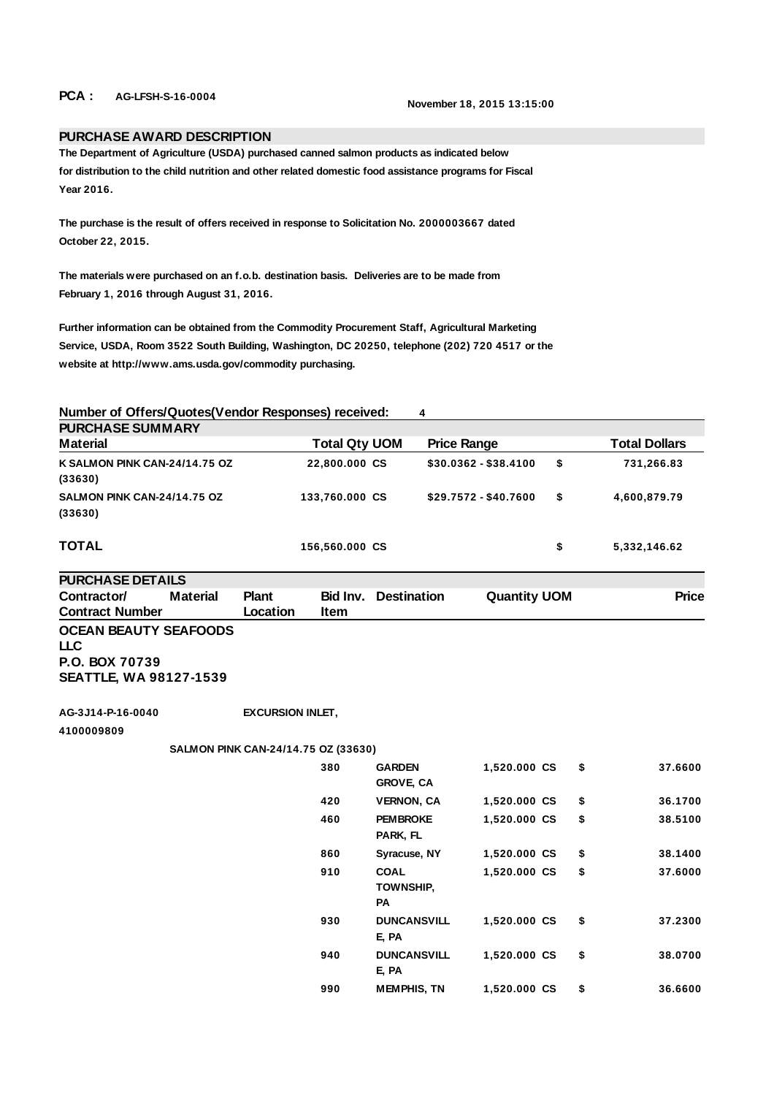## **PCA : AG-LFSH-S-16-0004 November 18, 2015 13:15:00**

## **PURCHASE AWARD DESCRIPTION**

**The Department of Agriculture (USDA) purchased canned salmon products as indicated below for distribution to the child nutrition and other related domestic food assistance programs for Fiscal Year 2016.**

**The purchase is the result of offers received in response to Solicitation No. 2000003667 dated October 22, 2015.**

**The materials were purchased on an f.o.b. destination basis. Deliveries are to be made from February 1, 2016 through August 31, 2016.**

**Further information can be obtained from the Commodity Procurement Staff, Agricultural Marketing Service, USDA, Room 3522 South Building, Washington, DC 20250, telephone (202) 720 4517 or the website at http://www.ams.usda.gov/commodity purchasing.**

**Number of Offers/Quotes(Vendor Responses) received: 4** 

| <b>PURCHASE SUMMARY</b>                  |                      |                       |    |                      |  |  |  |  |  |
|------------------------------------------|----------------------|-----------------------|----|----------------------|--|--|--|--|--|
| <b>Material</b>                          | <b>Total Qty UOM</b> | <b>Price Range</b>    |    | <b>Total Dollars</b> |  |  |  |  |  |
| K SALMON PINK CAN-24/14.75 OZ<br>(33630) | 22,800.000 CS        | $$30.0362 - $38.4100$ | \$ | 731,266.83           |  |  |  |  |  |
| SALMON PINK CAN-24/14.75 OZ<br>(33630)   | 133,760.000 CS       | \$29.7572 - \$40.7600 | \$ | 4,600,879.79         |  |  |  |  |  |
| TOTAL                                    | 156,560.000 CS       |                       | \$ | 5,332,146.62         |  |  |  |  |  |

**PURCHASE DETAILS Contractor/ Contract Number Material Plant Location Bid Inv. Item Quantity UOM Price OCEAN BEAUTY SEAFOODS LLC P.O. BOX 70739 SEATTLE, WA 98127-1539**

**AG-3J14-P-16-0040 EXCURSION INLET,** 

**4100009809**

## **SALMON PINK CAN-24/14.75 OZ (33630)**

| 380 | <b>GARDEN</b><br><b>GROVE, CA</b>     | 1,520.000 CS | \$<br>37.6600 |
|-----|---------------------------------------|--------------|---------------|
| 420 | <b>VERNON, CA</b>                     | 1.520.000 CS | \$<br>36.1700 |
| 460 | <b>PEMBROKE</b><br>PARK, FL           | 1,520.000 CS | \$<br>38.5100 |
| 860 | Syracuse, NY                          | 1,520.000 CS | \$<br>38.1400 |
| 910 | <b>COAL</b><br><b>TOWNSHIP,</b><br>PA | 1,520.000 CS | \$<br>37.6000 |
| 930 | <b>DUNCANSVILL</b><br>e, pa           | 1,520.000 CS | \$<br>37.2300 |
| 940 | <b>DUNCANSVILL</b><br>e, pa           | 1.520.000 CS | \$<br>38.0700 |
| 990 | <b>MEMPHIS, TN</b>                    | 1,520.000 CS | \$<br>36.6600 |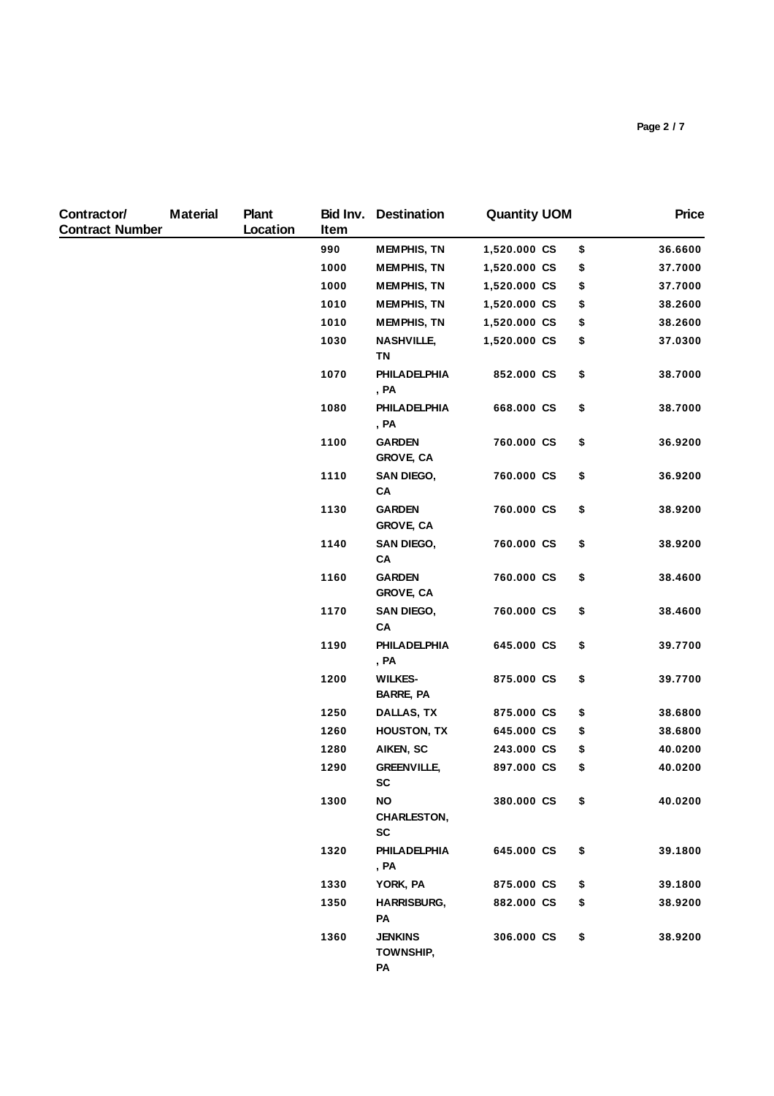| Contractor/<br><b>Contract Number</b> | <b>Material</b> | <b>Plant</b><br>Location | Bid Inv.<br>Item | <b>Destination</b>                 | <b>Quantity UOM</b> | <b>Price</b>  |
|---------------------------------------|-----------------|--------------------------|------------------|------------------------------------|---------------------|---------------|
|                                       |                 |                          | 990              | <b>MEMPHIS, TN</b>                 | 1,520.000 CS        | \$<br>36.6600 |
|                                       |                 |                          | 1000             | <b>MEMPHIS, TN</b>                 | 1,520.000 CS        | \$<br>37.7000 |
|                                       |                 |                          | 1000             | <b>MEMPHIS, TN</b>                 | 1,520.000 CS        | \$<br>37.7000 |
|                                       |                 |                          | 1010             | <b>MEMPHIS, TN</b>                 | 1,520.000 CS        | \$<br>38.2600 |
|                                       |                 |                          | 1010             | <b>MEMPHIS, TN</b>                 | 1,520.000 CS        | \$<br>38.2600 |
|                                       |                 |                          | 1030             | <b>NASHVILLE,</b><br>TN            | 1,520.000 CS        | \$<br>37.0300 |
|                                       |                 |                          | 1070             | PHILADELPHIA<br>, PA               | 852.000 CS          | \$<br>38.7000 |
|                                       |                 |                          | 1080             | <b>PHILADELPHIA</b><br>, PA        | 668.000 CS          | \$<br>38.7000 |
|                                       |                 |                          | 1100             | <b>GARDEN</b><br><b>GROVE, CA</b>  | 760.000 CS          | \$<br>36.9200 |
|                                       |                 |                          | 1110             | <b>SAN DIEGO,</b><br>CA            | 760.000 CS          | \$<br>36.9200 |
|                                       |                 |                          | 1130             | <b>GARDEN</b><br><b>GROVE, CA</b>  | 760.000 CS          | \$<br>38.9200 |
|                                       |                 |                          | 1140             | <b>SAN DIEGO,</b><br>CA            | 760.000 CS          | \$<br>38.9200 |
|                                       |                 |                          | 1160             | <b>GARDEN</b><br><b>GROVE, CA</b>  | 760.000 CS          | \$<br>38.4600 |
|                                       |                 |                          | 1170             | <b>SAN DIEGO,</b><br>CA            | 760.000 CS          | \$<br>38.4600 |
|                                       |                 |                          | 1190             | PHILADELPHIA<br>, PA               | 645.000 CS          | \$<br>39.7700 |
|                                       |                 |                          | 1200             | <b>WILKES-</b><br><b>BARRE, PA</b> | 875.000 CS          | \$<br>39.7700 |
|                                       |                 |                          | 1250             | DALLAS, TX                         | 875.000 CS          | \$<br>38.6800 |
|                                       |                 |                          | 1260             | <b>HOUSTON, TX</b>                 | 645.000 CS          | \$<br>38.6800 |
|                                       |                 |                          | 1280             | AIKEN, SC                          | 243.000 CS          | \$<br>40.0200 |
|                                       |                 |                          | 1290             | <b>GREENVILLE,</b><br><b>SC</b>    | 897.000 CS          | \$<br>40.0200 |
|                                       |                 |                          | 1300             | NO<br><b>CHARLESTON,</b><br>SC     | 380.000 CS          | \$<br>40.0200 |
|                                       |                 |                          | 1320             | PHILADELPHIA<br>, PA               | 645.000 CS          | \$<br>39.1800 |
|                                       |                 |                          | 1330             | YORK, PA                           | 875.000 CS          | \$<br>39.1800 |
|                                       |                 |                          | 1350             | <b>HARRISBURG,</b><br>PA           | 882.000 CS          | \$<br>38.9200 |
|                                       |                 |                          | 1360             | <b>JENKINS</b><br>TOWNSHIP,<br>PA  | 306.000 CS          | \$<br>38.9200 |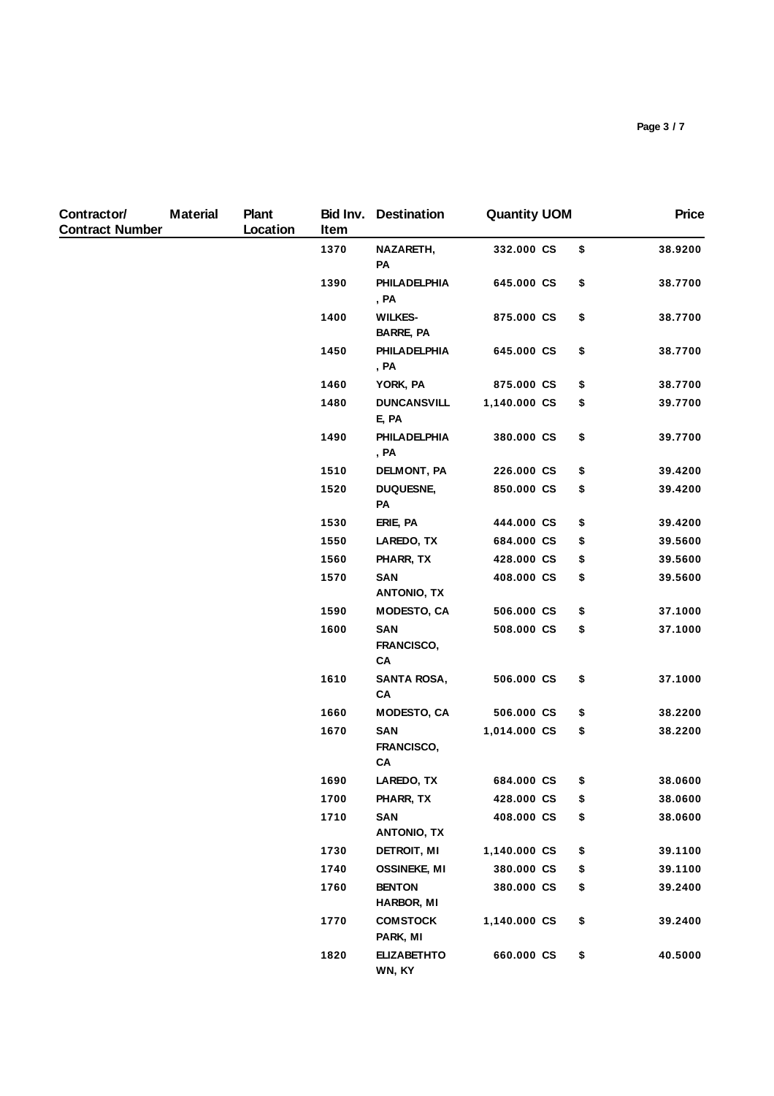| Contractor/<br><b>Contract Number</b> | <b>Material</b> | <b>Plant</b><br>Location | Item               | <b>Bid Inv. Destination</b>        | <b>Quantity UOM</b> | <b>Price</b>  |
|---------------------------------------|-----------------|--------------------------|--------------------|------------------------------------|---------------------|---------------|
|                                       |                 |                          | 1370               | NAZARETH,<br>PA                    | 332.000 CS          | \$<br>38.9200 |
|                                       |                 |                          | 1390               | <b>PHILADELPHIA</b><br>, PA        | 645.000 CS          | \$<br>38.7700 |
|                                       |                 |                          | 1400               | <b>WILKES-</b><br><b>BARRE, PA</b> | 875.000 CS          | \$<br>38.7700 |
|                                       |                 |                          | 1450               | PHILADELPHIA<br>, PA               | 645.000 CS          | \$<br>38.7700 |
|                                       |                 |                          | 1460               | YORK, PA                           | 875.000 CS          | \$<br>38.7700 |
|                                       |                 |                          | 1480               | <b>DUNCANSVILL</b><br>E, PA        | 1,140.000 CS        | \$<br>39.7700 |
|                                       |                 |                          | 1490               | PHILADELPHIA<br>, PA               | 380.000 CS          | \$<br>39.7700 |
|                                       |                 | 1510                     | <b>DELMONT, PA</b> | 226.000 CS                         | \$<br>39.4200       |               |
|                                       |                 |                          | 1520               | <b>DUQUESNE,</b><br>PA             | 850.000 CS          | \$<br>39.4200 |
|                                       |                 |                          | 1530               | ERIE, PA                           | 444.000 CS          | \$<br>39.4200 |
|                                       |                 |                          | 1550               | LAREDO, TX                         | 684.000 CS          | \$<br>39.5600 |
|                                       |                 |                          | 1560               | PHARR, TX                          | 428.000 CS          | \$<br>39.5600 |
|                                       |                 |                          | 1570               | SAN<br><b>ANTONIO, TX</b>          | 408.000 CS          | \$<br>39.5600 |
|                                       |                 |                          | 1590               | <b>MODESTO, CA</b>                 | 506.000 CS          | \$<br>37.1000 |
|                                       |                 |                          | 1600               | <b>SAN</b><br>FRANCISCO,<br>CA     | 508.000 CS          | \$<br>37.1000 |
|                                       |                 |                          | 1610               | <b>SANTA ROSA,</b><br>CA           | 506.000 CS          | \$<br>37.1000 |
|                                       |                 |                          | 1660               | <b>MODESTO, CA</b>                 | 506.000 CS          | \$<br>38.2200 |
|                                       |                 |                          | 1670               | <b>SAN</b><br>FRANCISCO,<br>CA     | 1,014.000 CS        | \$<br>38.2200 |
|                                       |                 |                          | 1690               | LAREDO, TX                         | 684.000 CS          | \$<br>38.0600 |
|                                       |                 |                          | 1700               | PHARR, TX                          | 428.000 CS          | \$<br>38.0600 |
|                                       |                 |                          | 1710               | <b>SAN</b><br><b>ANTONIO, TX</b>   | 408.000 CS          | \$<br>38.0600 |
|                                       |                 |                          | 1730               | DETROIT, MI                        | 1,140.000 CS        | \$<br>39.1100 |
|                                       |                 |                          | 1740               | <b>OSSINEKE, MI</b>                | 380.000 CS          | \$<br>39.1100 |
|                                       |                 |                          | 1760               | <b>BENTON</b><br><b>HARBOR, MI</b> | 380.000 CS          | \$<br>39.2400 |
|                                       |                 |                          | 1770               | <b>COMSTOCK</b><br>PARK, MI        | 1,140.000 CS        | \$<br>39.2400 |
|                                       |                 |                          | 1820               | <b>ELIZABETHTO</b><br>WN, KY       | 660.000 CS          | \$<br>40.5000 |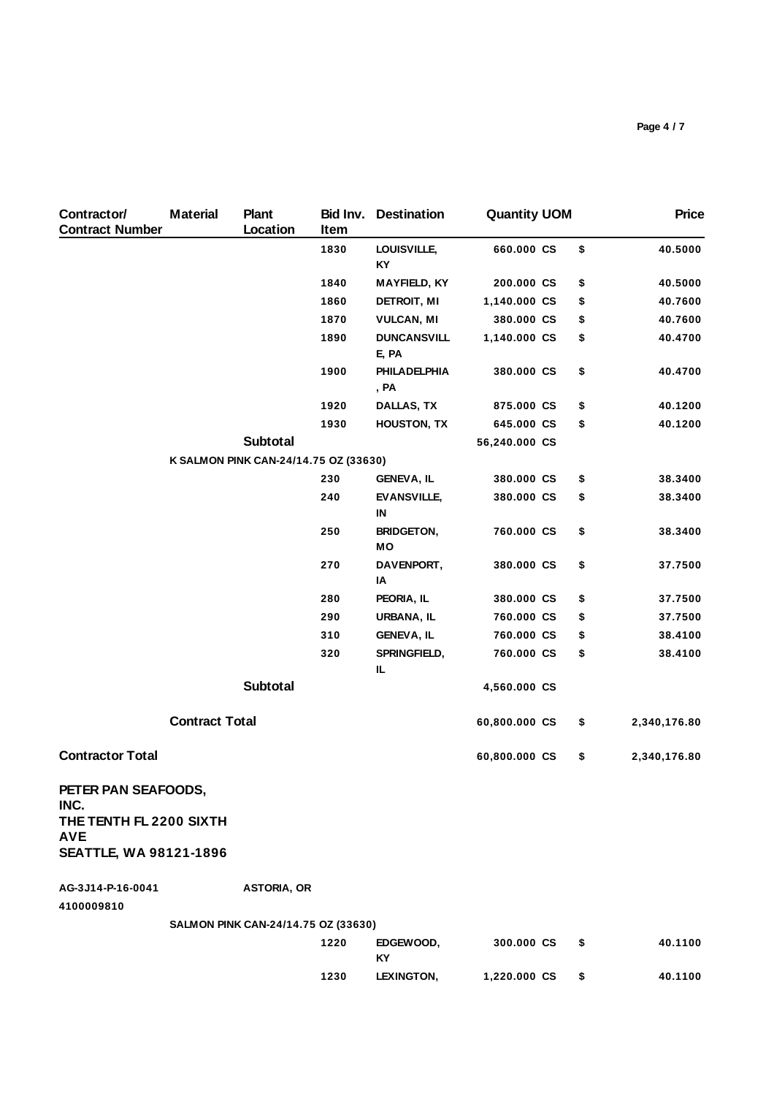| Contractor/<br><b>Contract Number</b> | <b>Material</b>       | <b>Plant</b><br>Location              | Item | <b>Bid Inv. Destination</b>    | <b>Quantity UOM</b> |    | <b>Price</b> |
|---------------------------------------|-----------------------|---------------------------------------|------|--------------------------------|---------------------|----|--------------|
|                                       |                       |                                       | 1830 | LOUISVILLE,<br>KY              | 660.000 CS          | \$ | 40.5000      |
|                                       |                       |                                       | 1840 | <b>MAYFIELD, KY</b>            | 200.000 CS          | \$ | 40.5000      |
|                                       |                       |                                       | 1860 | DETROIT, MI                    | 1,140.000 CS        | \$ | 40.7600      |
|                                       |                       |                                       | 1870 | <b>VULCAN, MI</b>              | 380.000 CS          | \$ | 40.7600      |
|                                       |                       |                                       | 1890 | <b>DUNCANSVILL</b><br>E, PA    | 1,140.000 CS        | \$ | 40.4700      |
|                                       |                       |                                       | 1900 | <b>PHILADELPHIA</b><br>, PA    | 380.000 CS          | \$ | 40.4700      |
|                                       |                       |                                       | 1920 | DALLAS, TX                     | 875.000 CS          | \$ | 40.1200      |
|                                       |                       |                                       | 1930 | <b>HOUSTON, TX</b>             | 645.000 CS          | \$ | 40.1200      |
|                                       |                       | <b>Subtotal</b>                       |      |                                | 56,240.000 CS       |    |              |
|                                       |                       | K SALMON PINK CAN-24/14.75 OZ (33630) |      |                                |                     |    |              |
|                                       |                       |                                       | 230  | <b>GENEVA, IL</b>              | 380.000 CS          | \$ | 38.3400      |
|                                       |                       |                                       | 240  | <b>EVANSVILLE,</b><br>IN       | 380.000 CS          | \$ | 38.3400      |
|                                       |                       |                                       | 250  | <b>BRIDGETON,</b><br><b>MO</b> | 760.000 CS          | \$ | 38.3400      |
|                                       |                       |                                       | 270  | DAVENPORT,<br>IA               | 380.000 CS          | \$ | 37.7500      |
|                                       |                       |                                       | 280  | PEORIA, IL                     | 380.000 CS          | \$ | 37.7500      |
|                                       |                       |                                       | 290  | URBANA, IL                     | 760.000 CS          | \$ | 37.7500      |
|                                       |                       |                                       | 310  | <b>GENEVA, IL</b>              | 760.000 CS          | \$ | 38.4100      |
|                                       |                       |                                       | 320  | SPRINGFIELD,<br>IL.            | 760.000 CS          | \$ | 38.4100      |
|                                       |                       | <b>Subtotal</b>                       |      |                                | 4,560.000 CS        |    |              |
|                                       | <b>Contract Total</b> |                                       |      |                                | 60,800.000 CS       | \$ | 2,340,176.80 |
| <b>Contractor Total</b>               |                       |                                       |      |                                | 60,800.000 CS       | \$ | 2,340,176.80 |
| PETER PAN SEAFOODS,<br>INC.           |                       |                                       |      |                                |                     |    |              |
| THE TENTH FL 2200 SIXTH<br><b>AVE</b> |                       |                                       |      |                                |                     |    |              |
| <b>SEATTLE, WA 98121-1896</b>         |                       |                                       |      |                                |                     |    |              |
| AG-3J14-P-16-0041                     |                       | <b>ASTORIA, OR</b>                    |      |                                |                     |    |              |
| 4100009810                            |                       |                                       |      |                                |                     |    |              |
|                                       |                       | SALMON PINK CAN-24/14.75 OZ (33630)   |      |                                |                     |    |              |
|                                       |                       |                                       | 1220 | EDGEWOOD,<br>KY                | 300.000 CS          | \$ | 40.1100      |

**1230 LEXINGTON, 1,220.000 CS \$ 40.1100**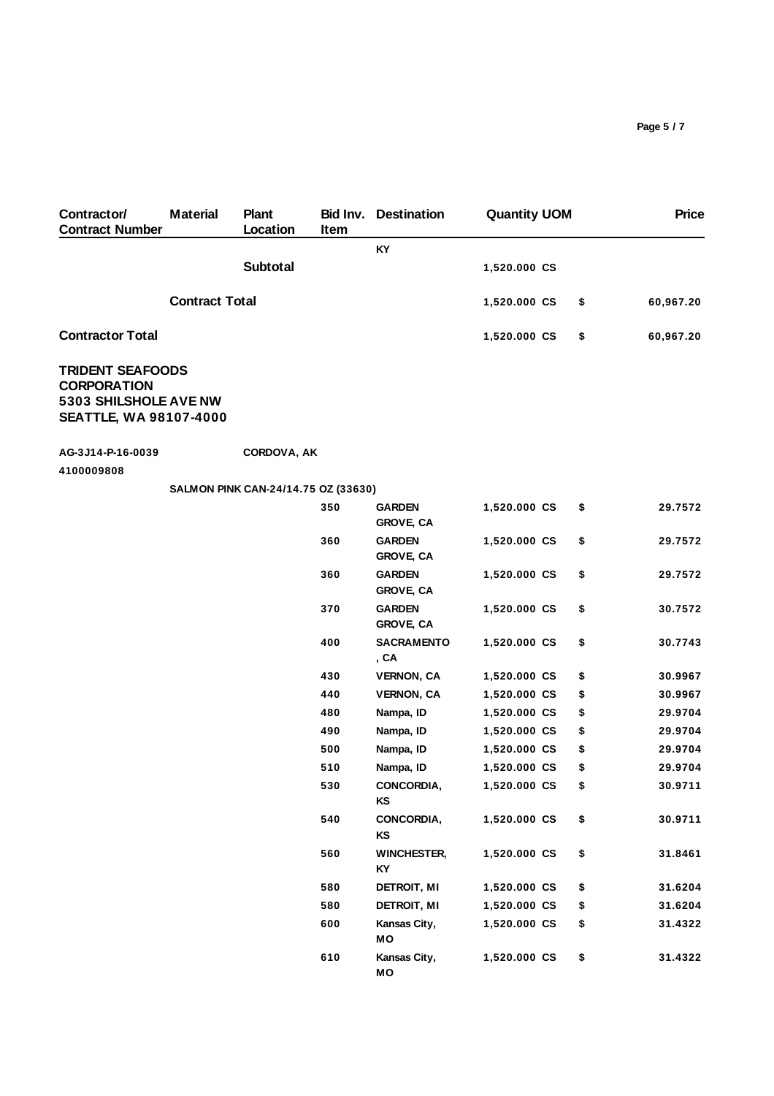| Contractor/<br><b>Contract Number</b>                  | <b>Material</b>       | <b>Plant</b><br>Location            | Bid Inv.<br>Item | <b>Destination</b>                | <b>Quantity UOM</b> |    | <b>Price</b> |
|--------------------------------------------------------|-----------------------|-------------------------------------|------------------|-----------------------------------|---------------------|----|--------------|
|                                                        |                       |                                     |                  | KY                                |                     |    |              |
|                                                        |                       | <b>Subtotal</b>                     |                  |                                   | 1,520.000 CS        |    |              |
|                                                        | <b>Contract Total</b> |                                     |                  |                                   | 1,520.000 CS        | \$ | 60,967.20    |
| <b>Contractor Total</b>                                |                       |                                     |                  |                                   | 1,520.000 CS        | \$ | 60,967.20    |
| <b>TRIDENT SEAFOODS</b><br><b>CORPORATION</b>          |                       |                                     |                  |                                   |                     |    |              |
| 5303 SHILSHOLE AVE NW<br><b>SEATTLE, WA 98107-4000</b> |                       |                                     |                  |                                   |                     |    |              |
| AG-3J14-P-16-0039                                      |                       | <b>CORDOVA, AK</b>                  |                  |                                   |                     |    |              |
| 4100009808                                             |                       |                                     |                  |                                   |                     |    |              |
|                                                        |                       | SALMON PINK CAN-24/14.75 OZ (33630) |                  |                                   |                     |    |              |
|                                                        |                       |                                     | 350              | <b>GARDEN</b><br><b>GROVE, CA</b> | 1,520.000 CS        | \$ | 29.7572      |
|                                                        |                       |                                     | 360              | <b>GARDEN</b><br><b>GROVE, CA</b> | 1,520.000 CS        | \$ | 29.7572      |
|                                                        |                       |                                     | 360              | <b>GARDEN</b><br><b>GROVE, CA</b> | 1,520.000 CS        | \$ | 29.7572      |
|                                                        |                       |                                     | 370              | <b>GARDEN</b><br><b>GROVE, CA</b> | 1,520.000 CS        | \$ | 30.7572      |
|                                                        |                       |                                     | 400              | <b>SACRAMENTO</b><br>, CA         | 1,520.000 CS        | \$ | 30.7743      |
|                                                        |                       |                                     | 430              | <b>VERNON, CA</b>                 | 1,520.000 CS        | \$ | 30.9967      |
|                                                        |                       |                                     | 440              | <b>VERNON, CA</b>                 | 1,520.000 CS        | \$ | 30.9967      |
|                                                        |                       |                                     | 480              | Nampa, ID                         | 1,520.000 CS        | \$ | 29.9704      |
|                                                        |                       |                                     | 490              | Nampa, ID                         | 1,520.000 CS        | \$ | 29.9704      |
|                                                        |                       |                                     | 500              | Nampa, ID                         | 1,520.000 CS        | \$ | 29.9704      |
|                                                        |                       |                                     | 510              | Nampa, ID                         | 1,520.000 CS        | \$ | 29.9704      |
|                                                        |                       |                                     | 530              | CONCORDIA,<br>ΚS                  | 1,520.000 CS        | \$ | 30.9711      |
|                                                        |                       |                                     | 540              | CONCORDIA,<br>KS                  | 1,520.000 CS        | \$ | 30.9711      |
|                                                        |                       |                                     | 560              | <b>WINCHESTER,</b><br>KY          | 1,520.000 CS        | \$ | 31.8461      |
|                                                        |                       |                                     | 580              | DETROIT, MI                       | 1,520.000 CS        | \$ | 31.6204      |
|                                                        |                       |                                     | 580              | <b>DETROIT, MI</b>                | 1,520.000 CS        | \$ | 31.6204      |
|                                                        |                       |                                     | 600              | Kansas City,<br>MO                | 1,520.000 CS        | \$ | 31.4322      |
|                                                        |                       |                                     | 610              | Kansas City,<br>МO                | 1,520.000 CS        | \$ | 31.4322      |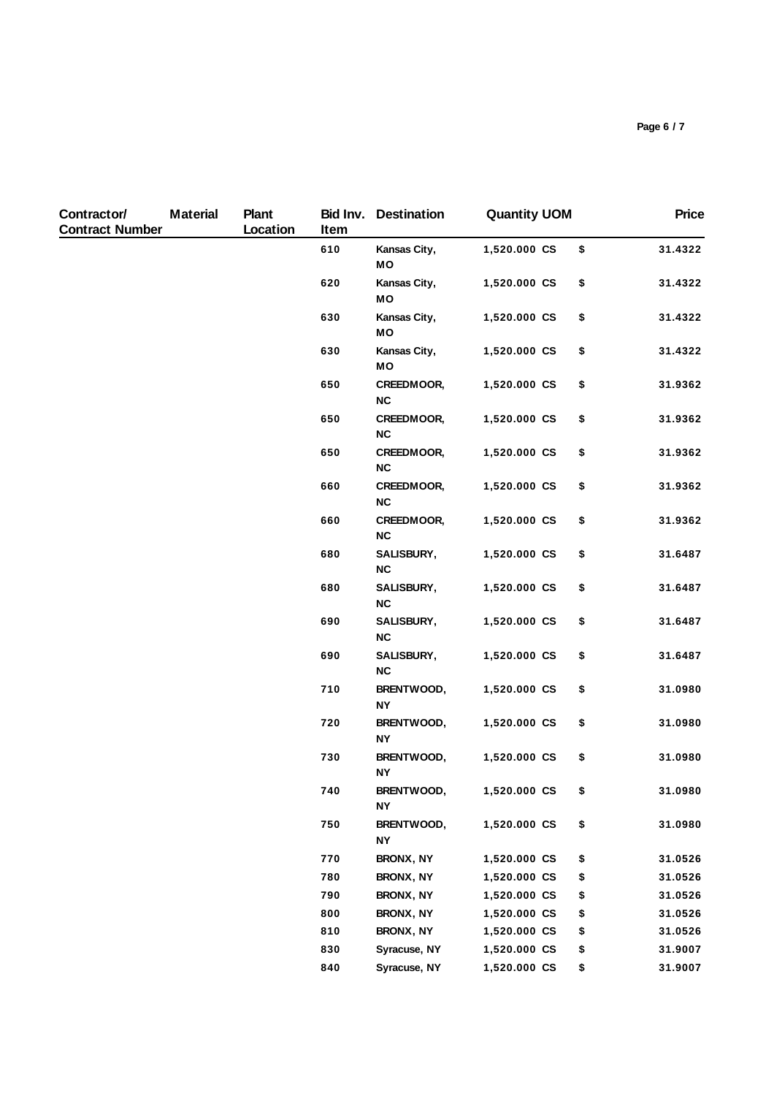| Contractor/<br><b>Contract Number</b> | <b>Material</b> | <b>Plant</b><br>Location | Bid Inv.<br>Item | <b>Destination</b>             | <b>Quantity UOM</b> | <b>Price</b>  |
|---------------------------------------|-----------------|--------------------------|------------------|--------------------------------|---------------------|---------------|
|                                       |                 |                          | 610              | Kansas City,<br>MO             | 1,520.000 CS        | \$<br>31.4322 |
|                                       |                 |                          | 620              | Kansas City,<br>MO             | 1,520.000 CS        | \$<br>31.4322 |
|                                       |                 |                          | 630              | Kansas City,<br>MO             | 1,520.000 CS        | \$<br>31.4322 |
|                                       |                 |                          | 630              | Kansas City,<br>МO             | 1,520.000 CS        | \$<br>31.4322 |
|                                       |                 |                          | 650              | CREEDMOOR,<br>NC               | 1,520.000 CS        | \$<br>31.9362 |
|                                       |                 |                          | 650              | CREEDMOOR,<br>$NC$             | 1,520.000 CS        | \$<br>31.9362 |
|                                       |                 |                          | 650              | CREEDMOOR,<br><b>NC</b>        | 1,520.000 CS        | \$<br>31.9362 |
|                                       |                 |                          | 660              | <b>CREEDMOOR,</b><br><b>NC</b> | 1,520.000 CS        | \$<br>31.9362 |
|                                       |                 |                          | 660              | CREEDMOOR,<br><b>NC</b>        | 1,520.000 CS        | \$<br>31.9362 |
|                                       |                 |                          | 680              | SALISBURY,<br>NC               | 1,520.000 CS        | \$<br>31.6487 |
|                                       |                 |                          | 680              | SALISBURY,<br>NC               | 1,520.000 CS        | \$<br>31.6487 |
|                                       |                 |                          | 690              | SALISBURY,<br>$NC$             | 1,520.000 CS        | \$<br>31.6487 |
|                                       |                 |                          | 690              | SALISBURY,<br><b>NC</b>        | 1,520.000 CS        | \$<br>31.6487 |
|                                       |                 |                          | 710              | BRENTWOOD,<br><b>NY</b>        | 1,520.000 CS        | \$<br>31.0980 |
|                                       |                 |                          | 720              | BRENTWOOD,<br><b>NY</b>        | 1,520.000 CS        | \$<br>31.0980 |
|                                       |                 |                          | 730              | BRENTWOOD,<br><b>NY</b>        | 1,520.000 CS        | \$<br>31.0980 |
|                                       |                 |                          | 740              | BRENTWOOD,<br>ΝY               | 1,520.000 CS        | \$<br>31.0980 |
|                                       |                 |                          | 750              | BRENTWOOD,<br><b>NY</b>        | 1,520.000 CS        | \$<br>31.0980 |
|                                       |                 |                          | 770              | BRONX, NY                      | 1,520.000 CS        | \$<br>31.0526 |
|                                       |                 |                          | 780              | BRONX, NY                      | 1,520.000 CS        | \$<br>31.0526 |
|                                       |                 |                          | 790              | BRONX, NY                      | 1,520.000 CS        | \$<br>31.0526 |
|                                       |                 |                          | 800              | BRONX, NY                      | 1,520.000 CS        | \$<br>31.0526 |
|                                       |                 |                          | 810              | BRONX, NY                      | 1,520.000 CS        | \$<br>31.0526 |
|                                       |                 |                          | 830              | Syracuse, NY                   | 1,520.000 CS        | \$<br>31.9007 |
|                                       |                 |                          | 840              | Syracuse, NY                   | 1,520.000 CS        | \$<br>31.9007 |